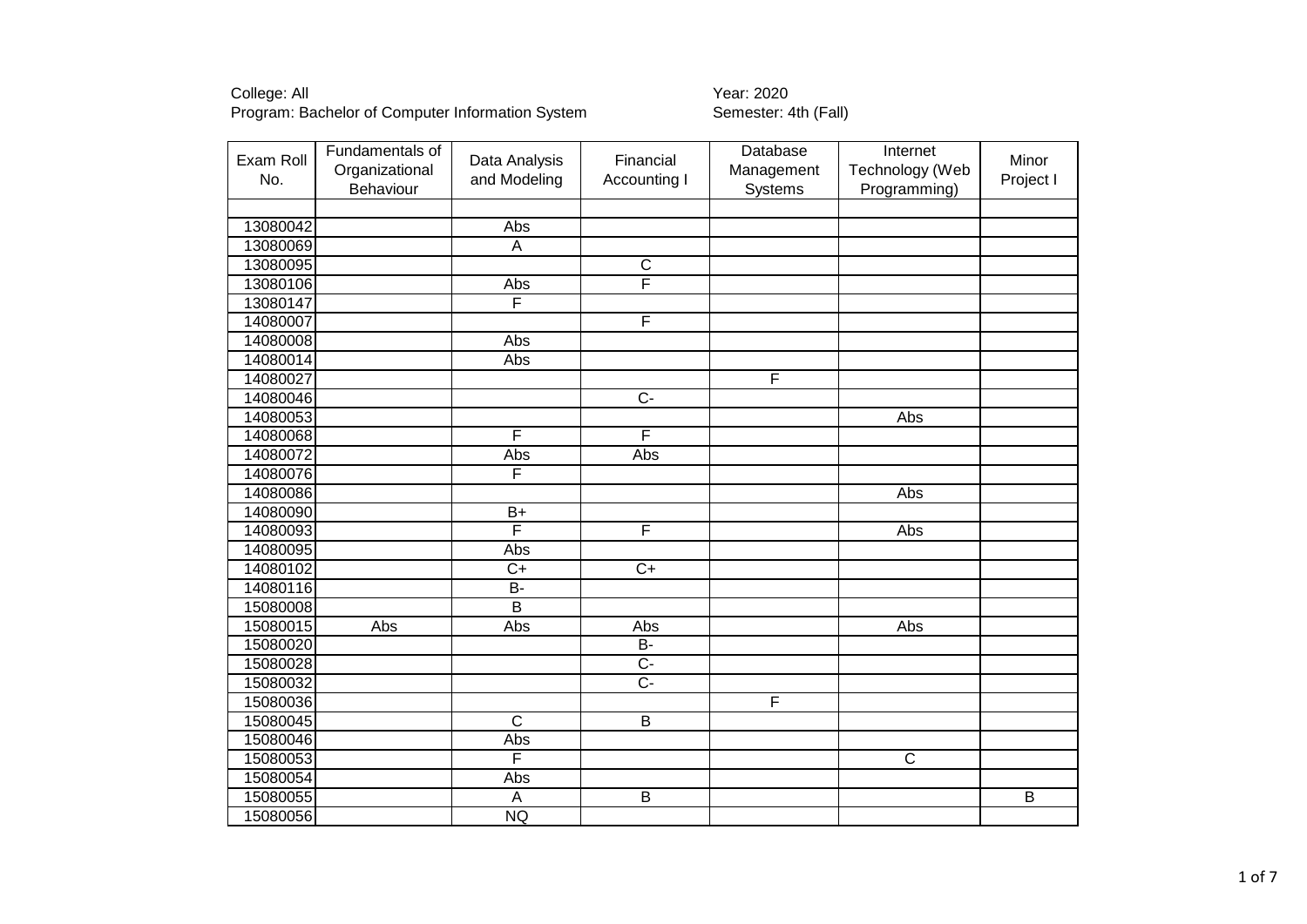| Exam Roll<br>No. | Fundamentals of<br>Organizational<br>Behaviour | Data Analysis<br>and Modeling | Financial<br>Accounting I | Database<br>Management<br>Systems | Internet<br>Technology (Web<br>Programming) | Minor<br>Project I |
|------------------|------------------------------------------------|-------------------------------|---------------------------|-----------------------------------|---------------------------------------------|--------------------|
|                  |                                                |                               |                           |                                   |                                             |                    |
| 13080042         |                                                | Abs                           |                           |                                   |                                             |                    |
| 13080069         |                                                | $\overline{A}$                |                           |                                   |                                             |                    |
| 13080095         |                                                |                               | $\overline{\text{c}}$     |                                   |                                             |                    |
| 13080106         |                                                | Abs                           | F                         |                                   |                                             |                    |
| 13080147         |                                                | F                             |                           |                                   |                                             |                    |
| 14080007         |                                                |                               | F                         |                                   |                                             |                    |
| 14080008         |                                                | Abs                           |                           |                                   |                                             |                    |
| 14080014         |                                                | Abs                           |                           |                                   |                                             |                    |
| 14080027         |                                                |                               |                           | F                                 |                                             |                    |
| 14080046         |                                                |                               | $\overline{C}$            |                                   |                                             |                    |
| 14080053         |                                                |                               |                           |                                   | Abs                                         |                    |
| 14080068         |                                                | F                             | F                         |                                   |                                             |                    |
| 14080072         |                                                | Abs                           | Abs                       |                                   |                                             |                    |
| 14080076         |                                                | F                             |                           |                                   |                                             |                    |
| 14080086         |                                                |                               |                           |                                   | Abs                                         |                    |
| 14080090         |                                                | $B+$                          |                           |                                   |                                             |                    |
| 14080093         |                                                | F                             | F                         |                                   | Abs                                         |                    |
| 14080095         |                                                | Abs                           |                           |                                   |                                             |                    |
| 14080102         |                                                | $\overline{C+}$               | $\overline{C}$            |                                   |                                             |                    |
| 14080116         |                                                | $B -$                         |                           |                                   |                                             |                    |
| 15080008         |                                                | $\overline{B}$                |                           |                                   |                                             |                    |
| 15080015         | Abs                                            | Abs                           | Abs                       |                                   | Abs                                         |                    |
| 15080020         |                                                |                               | $\overline{B}$            |                                   |                                             |                    |
| 15080028         |                                                |                               | $\overline{C}$            |                                   |                                             |                    |
| 15080032         |                                                |                               | $\overline{C}$            |                                   |                                             |                    |
| 15080036         |                                                |                               |                           | F                                 |                                             |                    |
| 15080045         |                                                | $\overline{C}$                | $\overline{B}$            |                                   |                                             |                    |
| 15080046         |                                                | Abs                           |                           |                                   |                                             |                    |
| 15080053         |                                                | F                             |                           |                                   | $\overline{\text{c}}$                       |                    |
| 15080054         |                                                | Abs                           |                           |                                   |                                             |                    |
| 15080055         |                                                | $\overline{A}$                | $\overline{B}$            |                                   |                                             | $\overline{B}$     |
| 15080056         |                                                | <b>NQ</b>                     |                           |                                   |                                             |                    |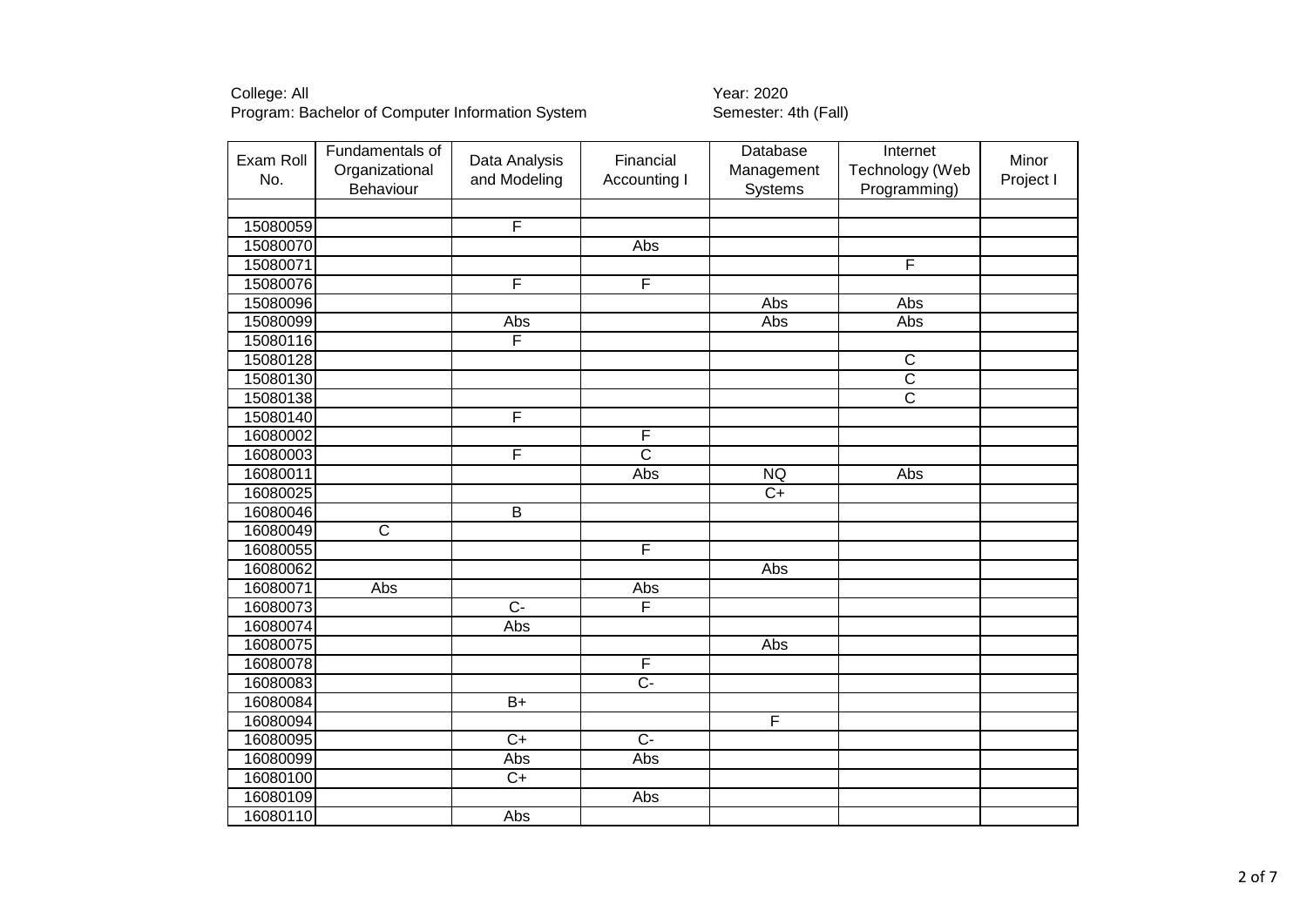| Exam Roll<br>No. | Fundamentals of<br>Organizational<br>Behaviour | Data Analysis<br>and Modeling | Financial<br>Accounting I | Database<br>Management<br>Systems | Internet<br>Technology (Web<br>Programming) | Minor<br>Project I |
|------------------|------------------------------------------------|-------------------------------|---------------------------|-----------------------------------|---------------------------------------------|--------------------|
|                  |                                                |                               |                           |                                   |                                             |                    |
| 15080059         |                                                | F                             |                           |                                   |                                             |                    |
| 15080070         |                                                |                               | Abs                       |                                   |                                             |                    |
| 15080071         |                                                |                               |                           |                                   | $\overline{\mathsf{F}}$                     |                    |
| 15080076         |                                                | F                             | F                         |                                   |                                             |                    |
| 15080096         |                                                |                               |                           | Abs                               | Abs                                         |                    |
| 15080099         |                                                | Abs                           |                           | Abs                               | Abs                                         |                    |
| 15080116         |                                                | F                             |                           |                                   |                                             |                    |
| 15080128         |                                                |                               |                           |                                   | $\overline{\text{c}}$                       |                    |
| 15080130         |                                                |                               |                           |                                   | $\overline{\text{c}}$                       |                    |
| 15080138         |                                                |                               |                           |                                   | $\overline{\text{c}}$                       |                    |
| 15080140         |                                                | F                             |                           |                                   |                                             |                    |
| 16080002         |                                                |                               | $\overline{F}$            |                                   |                                             |                    |
| 16080003         |                                                | F                             | $\overline{\text{c}}$     |                                   |                                             |                    |
| 16080011         |                                                |                               | Abs                       | <b>NQ</b>                         | Abs                                         |                    |
| 16080025         |                                                |                               |                           | $\overline{C+}$                   |                                             |                    |
| 16080046         |                                                | B                             |                           |                                   |                                             |                    |
| 16080049         | $\overline{\text{c}}$                          |                               |                           |                                   |                                             |                    |
| 16080055         |                                                |                               | F                         |                                   |                                             |                    |
| 16080062         |                                                |                               |                           | Abs                               |                                             |                    |
| 16080071         | <b>Abs</b>                                     |                               | Abs                       |                                   |                                             |                    |
| 16080073         |                                                | $\overline{C}$                | F                         |                                   |                                             |                    |
| 16080074         |                                                | Abs                           |                           |                                   |                                             |                    |
| 16080075         |                                                |                               |                           | Abs                               |                                             |                    |
| 16080078         |                                                |                               | F                         |                                   |                                             |                    |
| 16080083         |                                                |                               | $\overline{C}$            |                                   |                                             |                    |
| 16080084         |                                                | $B+$                          |                           |                                   |                                             |                    |
| 16080094         |                                                |                               |                           | F                                 |                                             |                    |
| 16080095         |                                                | $\overline{C+}$               | $\overline{C}$            |                                   |                                             |                    |
| 16080099         |                                                | Abs                           | Abs                       |                                   |                                             |                    |
| 16080100         |                                                | $\overline{C+}$               |                           |                                   |                                             |                    |
| 16080109         |                                                |                               | Abs                       |                                   |                                             |                    |
| 16080110         |                                                | Abs                           |                           |                                   |                                             |                    |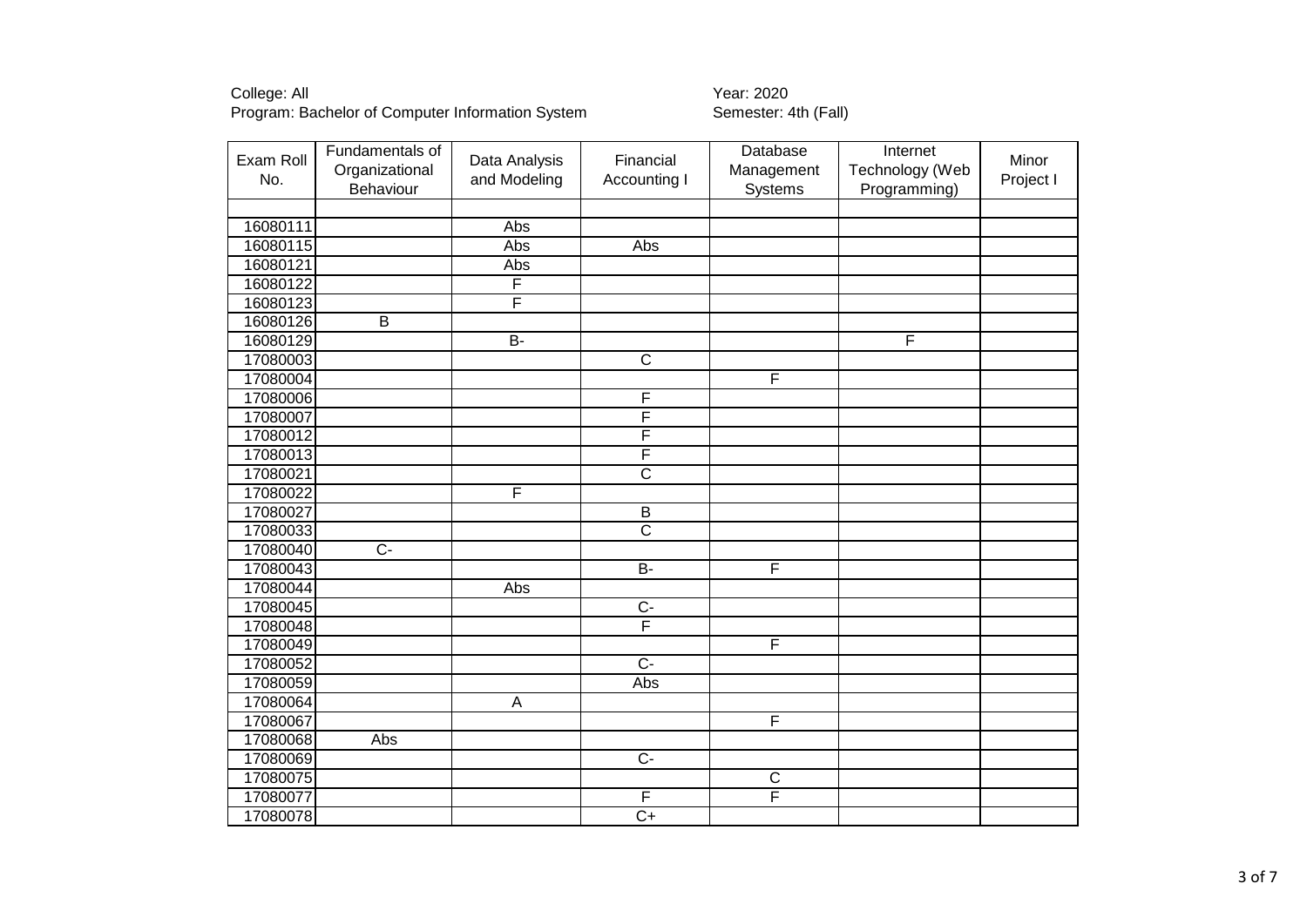| Exam Roll<br>No. | Fundamentals of<br>Organizational<br>Behaviour | Data Analysis<br>and Modeling | Financial<br>Accounting I | Database<br>Management<br>Systems | Internet<br>Technology (Web<br>Programming) | Minor<br>Project I |
|------------------|------------------------------------------------|-------------------------------|---------------------------|-----------------------------------|---------------------------------------------|--------------------|
|                  |                                                |                               |                           |                                   |                                             |                    |
| 16080111         |                                                | Abs                           |                           |                                   |                                             |                    |
| 16080115         |                                                | Abs                           | Abs                       |                                   |                                             |                    |
| 16080121         |                                                | Abs                           |                           |                                   |                                             |                    |
| 16080122         |                                                | F                             |                           |                                   |                                             |                    |
| 16080123         |                                                | F                             |                           |                                   |                                             |                    |
| 16080126         | $\overline{B}$                                 |                               |                           |                                   |                                             |                    |
| 16080129         |                                                | $\overline{B}$                |                           |                                   | F                                           |                    |
| 17080003         |                                                |                               | $\overline{\mathsf{C}}$   |                                   |                                             |                    |
| 17080004         |                                                |                               |                           | F                                 |                                             |                    |
| 17080006         |                                                |                               | F                         |                                   |                                             |                    |
| 17080007         |                                                |                               | F                         |                                   |                                             |                    |
| 17080012         |                                                |                               | $\overline{\mathsf{F}}$   |                                   |                                             |                    |
| 17080013         |                                                |                               | F                         |                                   |                                             |                    |
| 17080021         |                                                |                               | $\overline{\mathsf{c}}$   |                                   |                                             |                    |
| 17080022         |                                                | F                             |                           |                                   |                                             |                    |
| 17080027         |                                                |                               | $\overline{B}$            |                                   |                                             |                    |
| 17080033         |                                                |                               | $\overline{\text{c}}$     |                                   |                                             |                    |
| 17080040         | $\overline{C}$                                 |                               |                           |                                   |                                             |                    |
| 17080043         |                                                |                               | $B -$                     | $\overline{\mathsf{F}}$           |                                             |                    |
| 17080044         |                                                | Abs                           |                           |                                   |                                             |                    |
| 17080045         |                                                |                               | $\overline{C}$            |                                   |                                             |                    |
| 17080048         |                                                |                               | F                         |                                   |                                             |                    |
| 17080049         |                                                |                               |                           | F                                 |                                             |                    |
| 17080052         |                                                |                               | $\overline{C}$            |                                   |                                             |                    |
| 17080059         |                                                |                               | Abs                       |                                   |                                             |                    |
| 17080064         |                                                | $\overline{A}$                |                           |                                   |                                             |                    |
| 17080067         |                                                |                               |                           | F                                 |                                             |                    |
| 17080068         | Abs                                            |                               |                           |                                   |                                             |                    |
| 17080069         |                                                |                               | $\overline{C}$            |                                   |                                             |                    |
| 17080075         |                                                |                               |                           | $\overline{C}$                    |                                             |                    |
| 17080077         |                                                |                               | F                         | F                                 |                                             |                    |
| 17080078         |                                                |                               | $\overline{C+}$           |                                   |                                             |                    |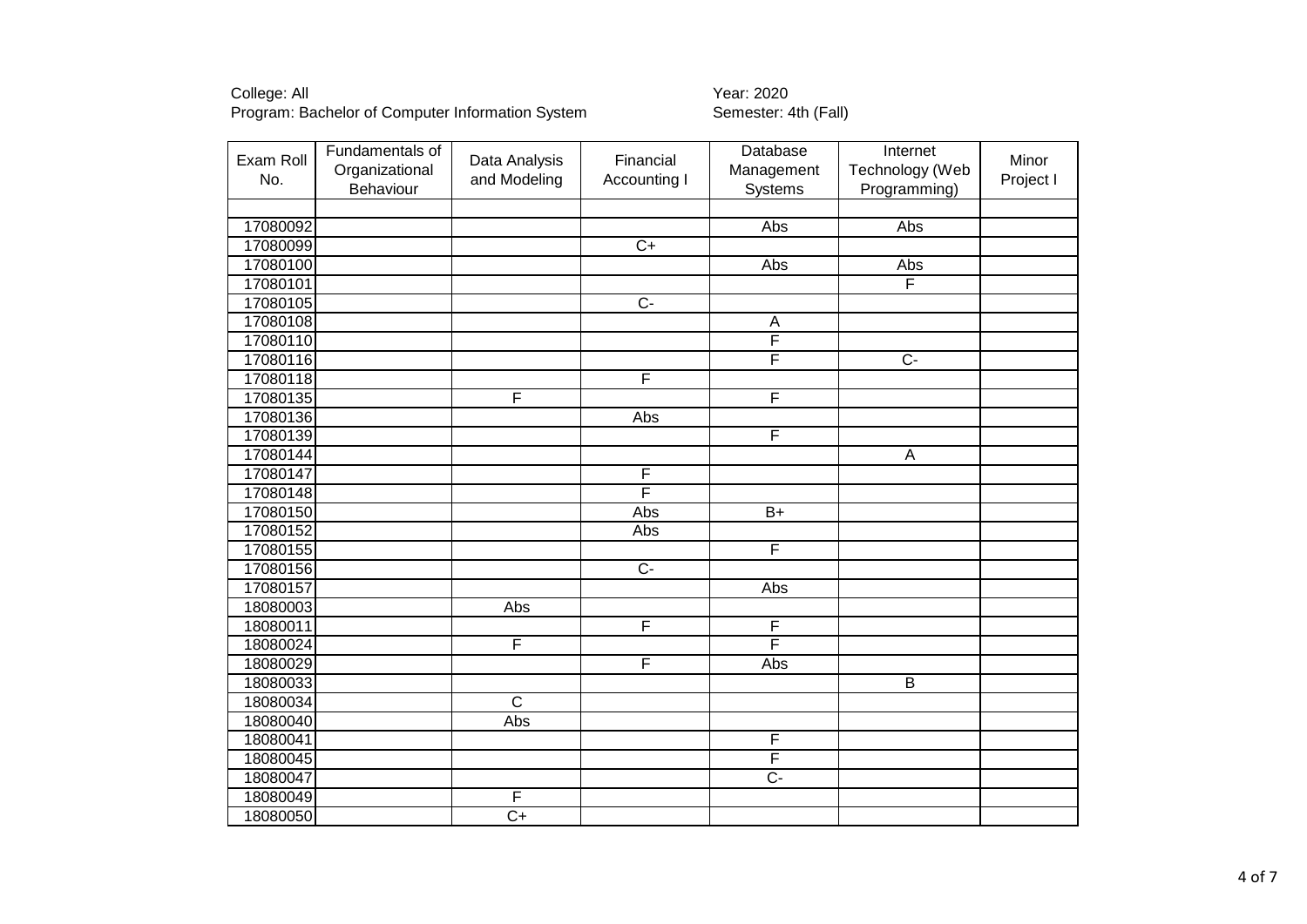| 17080092<br>Abs<br>Abs<br>$C+$<br>17080099<br>17080100<br>Abs<br>Abs<br>F<br>17080101<br>$\overline{C}$<br>17080105<br>17080108<br>A<br>17080110<br>F<br>F<br>17080116<br>$\overline{C}$<br>F<br>17080118<br>F<br>F<br>17080135<br>17080136<br>Abs<br>$\overline{\mathsf{F}}$<br>17080139<br>17080144<br>$\mathsf A$<br>F<br>17080147<br>F<br>17080148<br>17080150<br>$\overline{B+}$<br>Abs<br>17080152<br>Abs<br>17080155<br>F<br>$\overline{C}$<br>17080156<br>17080157<br>Abs<br>Abs<br>18080003<br>F<br>F<br>18080011<br>F<br>F<br>18080024<br>F<br>18080029<br>Abs<br>$\overline{B}$<br>18080033<br>$\overline{\text{c}}$<br>18080034<br>18080040<br>Abs<br>18080041<br>F<br>F<br>18080045<br>$\overline{C}$<br>18080047<br>18080049<br>$\overline{F}$<br>$\overline{C+}$<br>18080050 | Exam Roll<br>No. | Fundamentals of<br>Organizational<br>Behaviour | Data Analysis<br>and Modeling | Financial<br>Accounting I | Database<br>Management<br>Systems | Internet<br>Technology (Web<br>Programming) | Minor<br>Project I |
|---------------------------------------------------------------------------------------------------------------------------------------------------------------------------------------------------------------------------------------------------------------------------------------------------------------------------------------------------------------------------------------------------------------------------------------------------------------------------------------------------------------------------------------------------------------------------------------------------------------------------------------------------------------------------------------------------------------------------------------------------------------------------------------------|------------------|------------------------------------------------|-------------------------------|---------------------------|-----------------------------------|---------------------------------------------|--------------------|
|                                                                                                                                                                                                                                                                                                                                                                                                                                                                                                                                                                                                                                                                                                                                                                                             |                  |                                                |                               |                           |                                   |                                             |                    |
|                                                                                                                                                                                                                                                                                                                                                                                                                                                                                                                                                                                                                                                                                                                                                                                             |                  |                                                |                               |                           |                                   |                                             |                    |
|                                                                                                                                                                                                                                                                                                                                                                                                                                                                                                                                                                                                                                                                                                                                                                                             |                  |                                                |                               |                           |                                   |                                             |                    |
|                                                                                                                                                                                                                                                                                                                                                                                                                                                                                                                                                                                                                                                                                                                                                                                             |                  |                                                |                               |                           |                                   |                                             |                    |
|                                                                                                                                                                                                                                                                                                                                                                                                                                                                                                                                                                                                                                                                                                                                                                                             |                  |                                                |                               |                           |                                   |                                             |                    |
|                                                                                                                                                                                                                                                                                                                                                                                                                                                                                                                                                                                                                                                                                                                                                                                             |                  |                                                |                               |                           |                                   |                                             |                    |
|                                                                                                                                                                                                                                                                                                                                                                                                                                                                                                                                                                                                                                                                                                                                                                                             |                  |                                                |                               |                           |                                   |                                             |                    |
|                                                                                                                                                                                                                                                                                                                                                                                                                                                                                                                                                                                                                                                                                                                                                                                             |                  |                                                |                               |                           |                                   |                                             |                    |
|                                                                                                                                                                                                                                                                                                                                                                                                                                                                                                                                                                                                                                                                                                                                                                                             |                  |                                                |                               |                           |                                   |                                             |                    |
|                                                                                                                                                                                                                                                                                                                                                                                                                                                                                                                                                                                                                                                                                                                                                                                             |                  |                                                |                               |                           |                                   |                                             |                    |
|                                                                                                                                                                                                                                                                                                                                                                                                                                                                                                                                                                                                                                                                                                                                                                                             |                  |                                                |                               |                           |                                   |                                             |                    |
|                                                                                                                                                                                                                                                                                                                                                                                                                                                                                                                                                                                                                                                                                                                                                                                             |                  |                                                |                               |                           |                                   |                                             |                    |
|                                                                                                                                                                                                                                                                                                                                                                                                                                                                                                                                                                                                                                                                                                                                                                                             |                  |                                                |                               |                           |                                   |                                             |                    |
|                                                                                                                                                                                                                                                                                                                                                                                                                                                                                                                                                                                                                                                                                                                                                                                             |                  |                                                |                               |                           |                                   |                                             |                    |
|                                                                                                                                                                                                                                                                                                                                                                                                                                                                                                                                                                                                                                                                                                                                                                                             |                  |                                                |                               |                           |                                   |                                             |                    |
|                                                                                                                                                                                                                                                                                                                                                                                                                                                                                                                                                                                                                                                                                                                                                                                             |                  |                                                |                               |                           |                                   |                                             |                    |
|                                                                                                                                                                                                                                                                                                                                                                                                                                                                                                                                                                                                                                                                                                                                                                                             |                  |                                                |                               |                           |                                   |                                             |                    |
|                                                                                                                                                                                                                                                                                                                                                                                                                                                                                                                                                                                                                                                                                                                                                                                             |                  |                                                |                               |                           |                                   |                                             |                    |
|                                                                                                                                                                                                                                                                                                                                                                                                                                                                                                                                                                                                                                                                                                                                                                                             |                  |                                                |                               |                           |                                   |                                             |                    |
|                                                                                                                                                                                                                                                                                                                                                                                                                                                                                                                                                                                                                                                                                                                                                                                             |                  |                                                |                               |                           |                                   |                                             |                    |
|                                                                                                                                                                                                                                                                                                                                                                                                                                                                                                                                                                                                                                                                                                                                                                                             |                  |                                                |                               |                           |                                   |                                             |                    |
|                                                                                                                                                                                                                                                                                                                                                                                                                                                                                                                                                                                                                                                                                                                                                                                             |                  |                                                |                               |                           |                                   |                                             |                    |
|                                                                                                                                                                                                                                                                                                                                                                                                                                                                                                                                                                                                                                                                                                                                                                                             |                  |                                                |                               |                           |                                   |                                             |                    |
|                                                                                                                                                                                                                                                                                                                                                                                                                                                                                                                                                                                                                                                                                                                                                                                             |                  |                                                |                               |                           |                                   |                                             |                    |
|                                                                                                                                                                                                                                                                                                                                                                                                                                                                                                                                                                                                                                                                                                                                                                                             |                  |                                                |                               |                           |                                   |                                             |                    |
|                                                                                                                                                                                                                                                                                                                                                                                                                                                                                                                                                                                                                                                                                                                                                                                             |                  |                                                |                               |                           |                                   |                                             |                    |
|                                                                                                                                                                                                                                                                                                                                                                                                                                                                                                                                                                                                                                                                                                                                                                                             |                  |                                                |                               |                           |                                   |                                             |                    |
|                                                                                                                                                                                                                                                                                                                                                                                                                                                                                                                                                                                                                                                                                                                                                                                             |                  |                                                |                               |                           |                                   |                                             |                    |
|                                                                                                                                                                                                                                                                                                                                                                                                                                                                                                                                                                                                                                                                                                                                                                                             |                  |                                                |                               |                           |                                   |                                             |                    |
|                                                                                                                                                                                                                                                                                                                                                                                                                                                                                                                                                                                                                                                                                                                                                                                             |                  |                                                |                               |                           |                                   |                                             |                    |
|                                                                                                                                                                                                                                                                                                                                                                                                                                                                                                                                                                                                                                                                                                                                                                                             |                  |                                                |                               |                           |                                   |                                             |                    |
|                                                                                                                                                                                                                                                                                                                                                                                                                                                                                                                                                                                                                                                                                                                                                                                             |                  |                                                |                               |                           |                                   |                                             |                    |
|                                                                                                                                                                                                                                                                                                                                                                                                                                                                                                                                                                                                                                                                                                                                                                                             |                  |                                                |                               |                           |                                   |                                             |                    |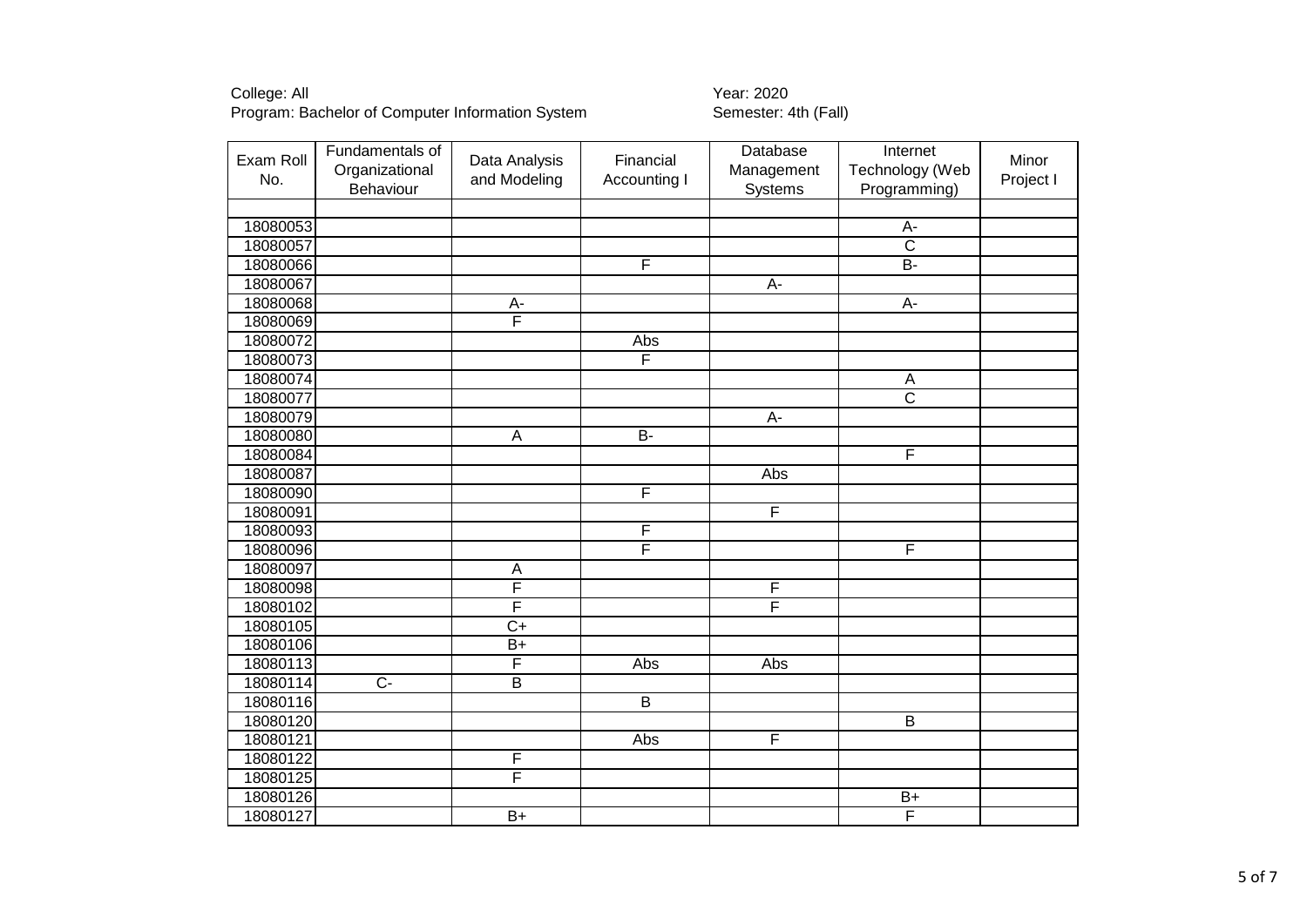| Exam Roll<br>No. | Fundamentals of<br>Organizational<br>Behaviour | Data Analysis<br>and Modeling | Financial<br>Accounting I | Database<br>Management<br>Systems | Internet<br>Technology (Web<br>Programming) | Minor<br>Project I |
|------------------|------------------------------------------------|-------------------------------|---------------------------|-----------------------------------|---------------------------------------------|--------------------|
|                  |                                                |                               |                           |                                   |                                             |                    |
| 18080053         |                                                |                               |                           |                                   | $A-$                                        |                    |
| 18080057         |                                                |                               |                           |                                   | $\overline{\text{c}}$                       |                    |
| 18080066         |                                                |                               | $\overline{\mathsf{F}}$   |                                   | $B -$                                       |                    |
| 18080067         |                                                |                               |                           | A-                                |                                             |                    |
| 18080068         |                                                | A-                            |                           |                                   | $\overline{A}$ -                            |                    |
| 18080069         |                                                | F                             |                           |                                   |                                             |                    |
| 18080072         |                                                |                               | Abs                       |                                   |                                             |                    |
| 18080073         |                                                |                               | F                         |                                   |                                             |                    |
| 18080074         |                                                |                               |                           |                                   | A                                           |                    |
| 18080077         |                                                |                               |                           |                                   | $\overline{\text{c}}$                       |                    |
| 18080079         |                                                |                               |                           | $A -$                             |                                             |                    |
| 18080080         |                                                | A                             | $B -$                     |                                   |                                             |                    |
| 18080084         |                                                |                               |                           |                                   | F                                           |                    |
| 18080087         |                                                |                               |                           | Abs                               |                                             |                    |
| 18080090         |                                                |                               | $\overline{\mathsf{F}}$   |                                   |                                             |                    |
| 18080091         |                                                |                               |                           | F                                 |                                             |                    |
| 18080093         |                                                |                               | F                         |                                   |                                             |                    |
| 18080096         |                                                |                               | F                         |                                   | F                                           |                    |
| 18080097         |                                                | A                             |                           |                                   |                                             |                    |
| 18080098         |                                                | F                             |                           | F                                 |                                             |                    |
| 18080102         |                                                | $\overline{\mathsf{F}}$       |                           | F                                 |                                             |                    |
| 18080105         |                                                | $\overline{C+}$               |                           |                                   |                                             |                    |
| 18080106         |                                                | $\overline{B+}$               |                           |                                   |                                             |                    |
| 18080113         |                                                | F                             | Abs                       | Abs                               |                                             |                    |
| 18080114         | $\overline{C}$                                 | $\overline{B}$                |                           |                                   |                                             |                    |
| 18080116         |                                                |                               | $\overline{B}$            |                                   |                                             |                    |
| 18080120         |                                                |                               |                           |                                   | $\overline{B}$                              |                    |
| 18080121         |                                                |                               | Abs                       | F                                 |                                             |                    |
| 18080122         |                                                | F                             |                           |                                   |                                             |                    |
| 18080125         |                                                | F                             |                           |                                   |                                             |                    |
| 18080126         |                                                |                               |                           |                                   | $\overline{B+}$                             |                    |
| 18080127         |                                                | $\overline{B+}$               |                           |                                   | F                                           |                    |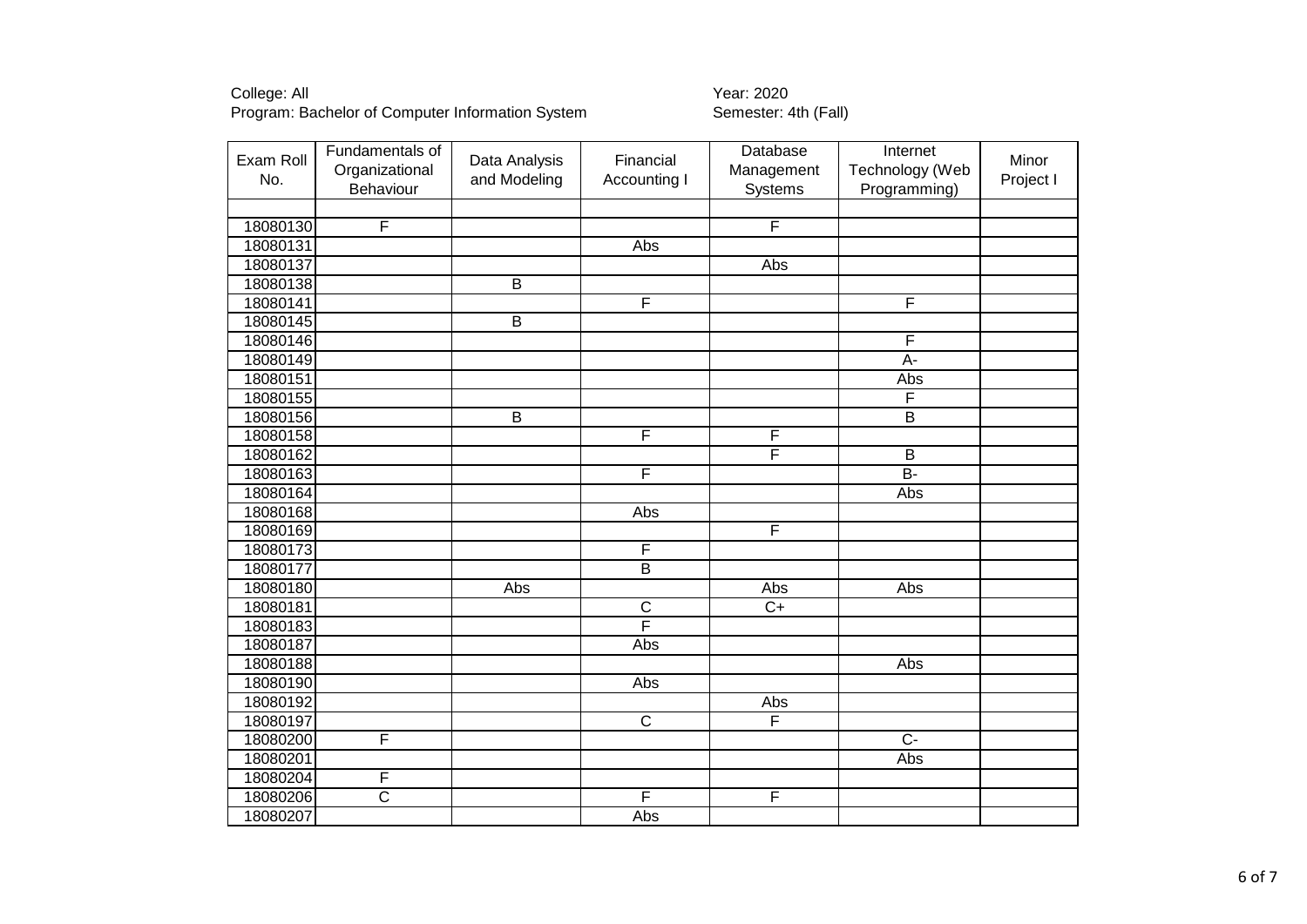| Exam Roll<br>No. | Fundamentals of<br>Organizational<br>Behaviour | Data Analysis<br>and Modeling | Financial<br>Accounting I | Database<br>Management<br>Systems | Internet<br>Technology (Web<br>Programming) | Minor<br>Project I |
|------------------|------------------------------------------------|-------------------------------|---------------------------|-----------------------------------|---------------------------------------------|--------------------|
|                  |                                                |                               |                           |                                   |                                             |                    |
| 18080130         | F                                              |                               |                           | F                                 |                                             |                    |
| 18080131         |                                                |                               | Abs                       |                                   |                                             |                    |
| 18080137         |                                                |                               |                           | Abs                               |                                             |                    |
| 18080138         |                                                | $\overline{B}$                |                           |                                   |                                             |                    |
| 18080141         |                                                |                               | F                         |                                   | F                                           |                    |
| 18080145         |                                                | B                             |                           |                                   |                                             |                    |
| 18080146         |                                                |                               |                           |                                   | F                                           |                    |
| 18080149         |                                                |                               |                           |                                   | $A -$                                       |                    |
| 18080151         |                                                |                               |                           |                                   | Abs                                         |                    |
| 18080155         |                                                |                               |                           |                                   | F                                           |                    |
| 18080156         |                                                | $\overline{B}$                |                           |                                   | $\overline{\mathsf{B}}$                     |                    |
| 18080158         |                                                |                               | $\overline{F}$            | F                                 |                                             |                    |
| 18080162         |                                                |                               |                           | F                                 | B                                           |                    |
| 18080163         |                                                |                               | F                         |                                   | B-                                          |                    |
| 18080164         |                                                |                               |                           |                                   | Abs                                         |                    |
| 18080168         |                                                |                               | Abs                       |                                   |                                             |                    |
| 18080169         |                                                |                               |                           | F                                 |                                             |                    |
| 18080173         |                                                |                               | $\overline{\mathsf{F}}$   |                                   |                                             |                    |
| 18080177         |                                                |                               | $\overline{B}$            |                                   |                                             |                    |
| 18080180         |                                                | Abs                           |                           | Abs                               | Abs                                         |                    |
| 18080181         |                                                |                               | $\overline{\text{c}}$     | $C+$                              |                                             |                    |
| 18080183         |                                                |                               | F                         |                                   |                                             |                    |
| 18080187         |                                                |                               | Abs                       |                                   |                                             |                    |
| 18080188         |                                                |                               |                           |                                   | Abs                                         |                    |
| 18080190         |                                                |                               | Abs                       |                                   |                                             |                    |
| 18080192         |                                                |                               |                           | Abs                               |                                             |                    |
| 18080197         |                                                |                               | $\overline{\mathsf{C}}$   | $\overline{\mathsf{F}}$           |                                             |                    |
| 18080200         | F                                              |                               |                           |                                   | $\overline{C}$                              |                    |
| 18080201         |                                                |                               |                           |                                   | <b>Abs</b>                                  |                    |
| 18080204         | F                                              |                               |                           |                                   |                                             |                    |
| 18080206         | $\overline{\text{c}}$                          |                               | $\overline{\mathsf{F}}$   | F                                 |                                             |                    |
| 18080207         |                                                |                               | Abs                       |                                   |                                             |                    |